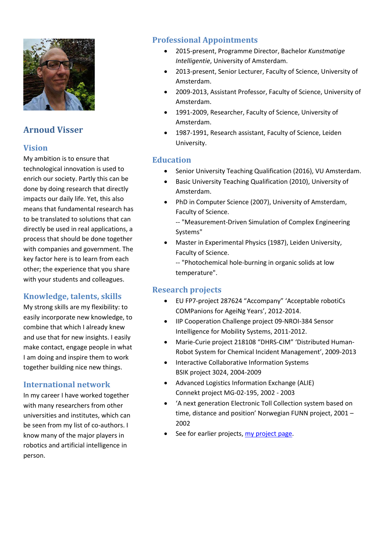

# **Arnoud Visser**

# **Vision**

My ambition is to ensure that technological innovation is used to enrich our society. Partly this can be done by doing research that directly impacts our daily life. Yet, this also means that fundamental research has to be translated to solutions that can directly be used in real applications, a process that should be done together with companies and government. The key factor here is to learn from each other; the experience that you share with your students and colleagues.

# **Knowledge, talents, skills**

My strong skills are my flexibility: to easily incorporate new knowledge, to combine that which I already knew and use that for new insights. I easily make contact, engage people in what I am doing and inspire them to work together building nice new things.

#### **International network**

In my career I have worked together with many researchers from other universities and institutes, which can be seen from my list of co-authors. I know many of the major players in robotics and artificial intelligence in person.

# **Professional Appointments**

- 2015-present, Programme Director, Bachelor *Kunstmatige Intelligentie*, University of Amsterdam.
- 2013-present, Senior Lecturer, Faculty of Science, University of Amsterdam.
- 2009-2013, Assistant Professor, Faculty of Science, University of Amsterdam.
- 1991-2009, Researcher, Faculty of Science, University of Amsterdam.
- 1987-1991, Research assistant, Faculty of Science, Leiden University.

#### **Education**

- Senior University Teaching Qualification (2016), VU Amsterdam.
- Basic University Teaching Qualification (2010), University of Amsterdam.
- PhD in Computer Science (2007), University of Amsterdam, Faculty of Science.

-- "Measurement-Driven Simulation of Complex Engineering Systems"

• Master in Experimental Physics (1987), Leiden University, Faculty of Science.

-- "Photochemical hole-burning in organic solids at low temperature".

#### **Research projects**

- EU FP7-project 287624 "Accompany" 'Acceptable robotiCs COMPanions for AgeiNg Years', 2012-2014.
- IIP Cooperation Challenge project 09-NROI-384 Sensor Intelligence for Mobility Systems, 2011-2012.
- Marie-Curie project 218108 "DHRS-CIM" 'Distributed Human-Robot System for Chemical Incident Management', 2009-2013
- Interactive Collaborative Information Systems BSIK project 3024, 2004-2009
- Advanced Logistics Information Exchange (ALIE) Connekt project MG-02-195, 2002 - 2003
- 'A next generation Electronic Toll Collection system based on time, distance and position' Norwegian FUNN project, 2001 – 2002
- See for earlier projects, [my project](https://staff.fnwi.uva.nl/a.visser/projects/) page.